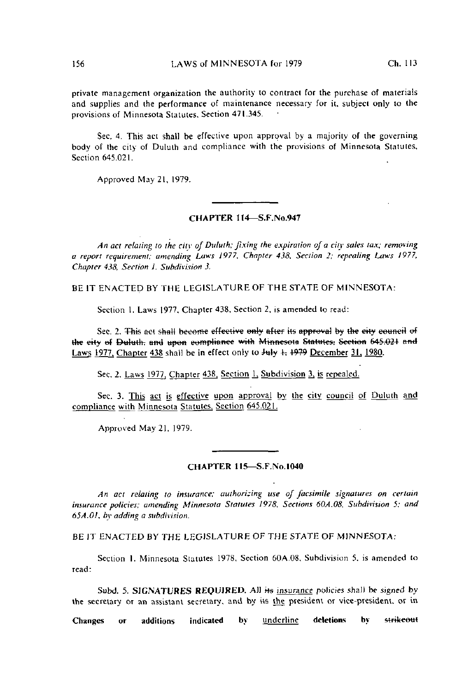private management organization the authority to contract for the purchase of materials and supplies and the performance of maintenance necessary' for ii, subject only to the provisions of Minnesota Statutes. Section 471.345.

Sec. 4. This act shall be effective upon approval by a majority of the governing body of the city of Dululh and compliance with the provisions of Minnesota Statutes, Section 645.021.

Approved May 21, 1979.

## CHAPTER 114— S.F.No.947

An act relating to the city of Duluth; fixing the expiration of a city sales tax; removing a report requirement: amending Laws 1977, Chapter 438, Section 2; repealing Laws 1977, Chapter 438, Section 1, Subdivision 3.

BE IT ENACTED BY THE LEGISLATURE OF THE STATE OF MINNESOTA:

Section 1. Laws 1977. Chapter 438. Section 2. is amended lo read:

Sec. 2. This act shall become effective only after its approval by the city council of the eity of Duluth. and upon compliance with Minnesota Statutes: Section 645.021 and Laws 1977. Chapter 438 shall be in effect only to  $J_{\text{H}} + 1979$  December 31, 1980.

Sec. 2. Laws 1977, Chapter 438, Section 1, Subdivision 3, is repealed.

Sec. 3. This act is effective upon approval by the ciiy council of Duluih and compliance with Minnesota Statutes, Section 645.Q2J.

Approved May 21. 1979.

## CHAPTER 115—S.F.No.1040

An act relating to insurance; authorizing use of facsimile signatures on certain insurance policies; amending Minnesota Statutes 1978. Sections 60A.08, Subdivision 5; and 65A.OI, by adding a subdivision.

BE IT ENACTED BY THE LEGISLATURE OF THE STATE OF MINNESOTA:

Section I. Minnesota Statutes 1978, Section 60A.08, Subdivision 5. is amended lo read:

Subd. 5. SIGNATURES REQUIRED. All its insurance policies shall be signed by the secretary or an assistant secretary, and by its the president or vice-president, or in

Changes or additions indicated by underline deletions by strikeout